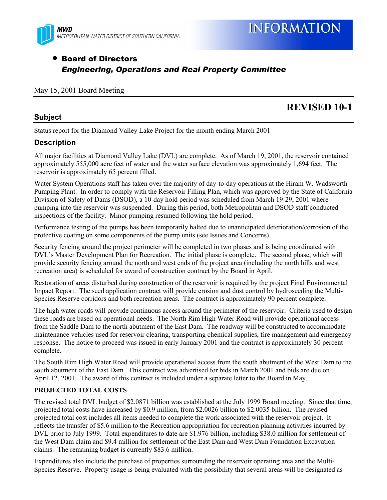

## • Board of Directors *Engineering, Operations and Real Property Committee*

#### May 15, 2001 Board Meeting

## **Subject**

## **REVISED 10-1**

Status report for the Diamond Valley Lake Project for the month ending March 2001

## **Description**

All major facilities at Diamond Valley Lake (DVL) are complete. As of March 19, 2001, the reservoir contained approximately 555,000 acre feet of water and the water surface elevation was approximately 1,694 feet. The reservoir is approximately 65 percent filled.

Water System Operations staff has taken over the majority of day-to-day operations at the Hiram W. Wadsworth Pumping Plant. In order to comply with the Reservoir Filling Plan, which was approved by the State of California Division of Safety of Dams (DSOD), a 10-day hold period was scheduled from March 19-29, 2001 where pumping into the reservoir was suspended. During this period, both Metropolitan and DSOD staff conducted inspections of the facility. Minor pumping resumed following the hold period.

Performance testing of the pumps has been temporarily halted due to unanticipated deterioration/corrosion of the protective coating on some components of the pump units (see Issues and Concerns).

Security fencing around the project perimeter will be completed in two phases and is being coordinated with DVL's Master Development Plan for Recreation. The initial phase is complete. The second phase, which will provide security fencing around the north and west ends of the project area (including the north hills and west recreation area) is scheduled for award of construction contract by the Board in April.

Restoration of areas disturbed during construction of the reservoir is required by the project Final Environmental Impact Report. The seed application contract will provide erosion and dust control by hydroseeding the Multi-Species Reserve corridors and both recreation areas. The contract is approximately 90 percent complete.

The high water roads will provide continuous access around the perimeter of the reservoir. Criteria used to design these roads are based on operational needs. The North Rim High Water Road will provide operational access from the Saddle Dam to the north abutment of the East Dam. The roadway will be constructed to accommodate maintenance vehicles used for reservoir clearing, transporting chemical supplies, fire management and emergency response. The notice to proceed was issued in early January 2001 and the contract is approximately 30 percent complete.

The South Rim High Water Road will provide operational access from the south abutment of the West Dam to the south abutment of the East Dam. This contract was advertised for bids in March 2001 and bids are due on April 12, 2001. The award of this contract is included under a separate letter to the Board in May.

### **PROJECTED TOTAL COSTS**

The revised total DVL budget of \$2.0871 billion was established at the July 1999 Board meeting. Since that time, projected total costs have increased by \$0.9 million, from \$2.0026 billion to \$2.0035 billion. The revised projected total cost includes all items needed to complete the work associated with the reservoir project. It reflects the transfer of \$5.6 million to the Recreation appropriation for recreation planning activities incurred by DVL prior to July 1999. Total expenditures to date are \$1.976 billion, including \$38.0 million for settlement of the West Dam claim and \$9.4 million for settlement of the East Dam and West Dam Foundation Excavation claims. The remaining budget is currently \$83.6 million.

Expenditures also include the purchase of properties surrounding the reservoir operating area and the Multi-Species Reserve. Property usage is being evaluated with the possibility that several areas will be designated as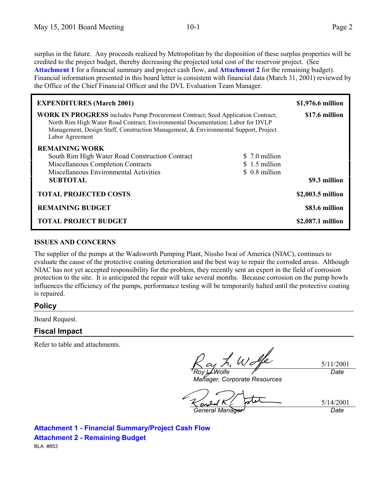surplus in the future. Any proceeds realized by Metropolitan by the disposition of these surplus properties will be credited to the project budget, thereby decreasing the projected total cost of the reservoir project. (See **Attachment 1** for a financial summary and project cash flow, and **Attachment 2** for the remaining budget). Financial information presented in this board letter is consistent with financial data (March 31, 2001) reviewed by the Office of the Chief Financial Officer and the DVL Evaluation Team Manager.

| <b>EXPENDITURES</b> (March 2001)                                                                                                                                                                                                                                                    |                                                    | \$1,976.6 million |
|-------------------------------------------------------------------------------------------------------------------------------------------------------------------------------------------------------------------------------------------------------------------------------------|----------------------------------------------------|-------------------|
| <b>WORK IN PROGRESS</b> includes Pump Procurement Contract; Seed Application Contract;<br>North Rim High Water Road Contract; Environmental Documentation; Labor for DVLP<br>Management, Design Staff, Construction Management, & Environmental Support, Project<br>Labor Agreement |                                                    | \$17.6 million    |
| <b>REMAINING WORK</b><br>South Rim High Water Road Construction Contract<br>Miscellaneous Completion Contracts<br>Miscellaneous Environmental Activities<br><b>SUBTOTAL</b>                                                                                                         | \$ 7.0 million<br>$$1.5$ million<br>\$ 0.8 million | \$9.3 million     |
| <b>TOTAL PROJECTED COSTS</b>                                                                                                                                                                                                                                                        |                                                    | \$2,003.5 million |
| <b>REMAINING BUDGET</b>                                                                                                                                                                                                                                                             |                                                    | \$83.6 million    |
| <b>TOTAL PROJECT BUDGET</b>                                                                                                                                                                                                                                                         |                                                    | \$2,087.1 million |

#### **ISSUES AND CONCERNS**

The supplier of the pumps at the Wadsworth Pumping Plant, Nissho Iwai of America (NIAC), continues to evaluate the cause of the protective coating deterioration and the best way to repair the corroded areas. Although NIAC has not yet accepted responsibility for the problem, they recently sent an expert in the field of corrosion protection to the site. It is anticipated the repair will take several months. Because corrosion on the pump bowls influences the efficiency of the pumps, performance testing will be temporarily halted until the protective coating is repaired.

### **Policy**

Board Request.

### **Fiscal Impact**

Refer to table and attachments.

*Roy L. Wolfe*

5/11/2001 *Date*

*Manager, Corporate Resources*

5/14/2001 *General Manager Date*

**Attachment 1 - Financial Summary/Project Cash Flow Attachment 2 - Remaining Budget** BLA #853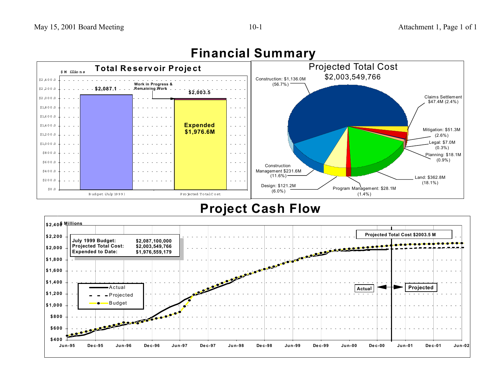

# **Financial Summary**

## **Project Cash Flow**